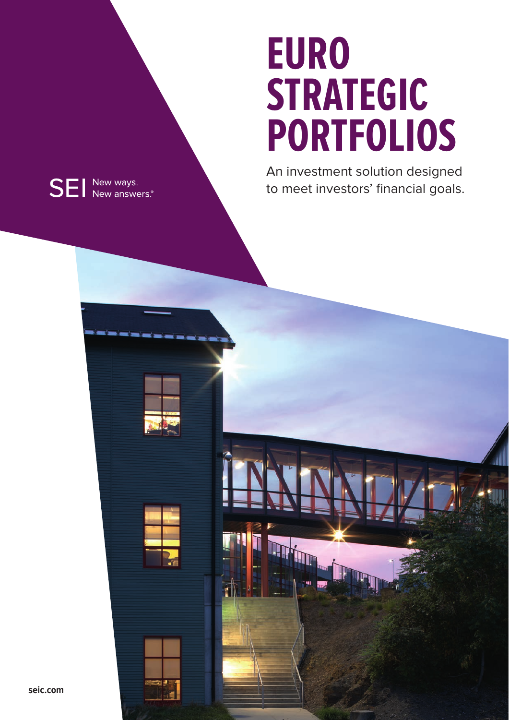# **EURO STRATEGIC PORTFOLIOS**

An investment solution designed to meet investors' financial goals.



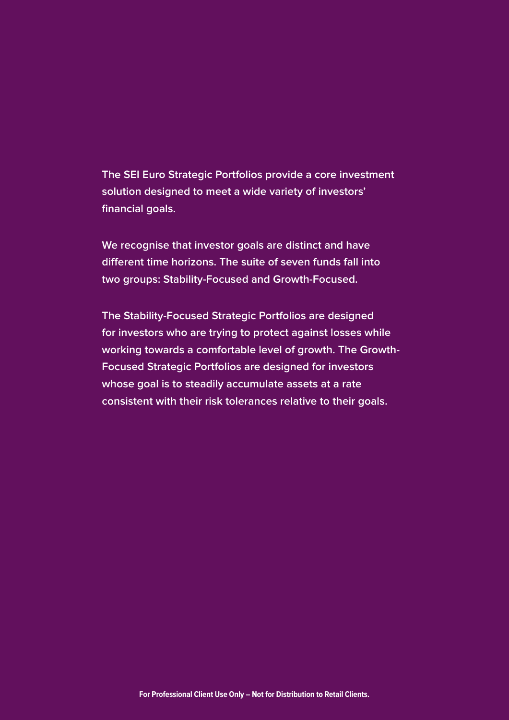**The SEI Euro Strategic Portfolios provide a core investment solution designed to meet a wide variety of investors' financial goals.** 

**We recognise that investor goals are distinct and have different time horizons. The suite of seven funds fall into two groups: Stability-Focused and Growth-Focused.** 

**The Stability-Focused Strategic Portfolios are designed for investors who are trying to protect against losses while working towards a comfortable level of growth. The Growth-Focused Strategic Portfolios are designed for investors whose goal is to steadily accumulate assets at a rate consistent with their risk tolerances relative to their goals.**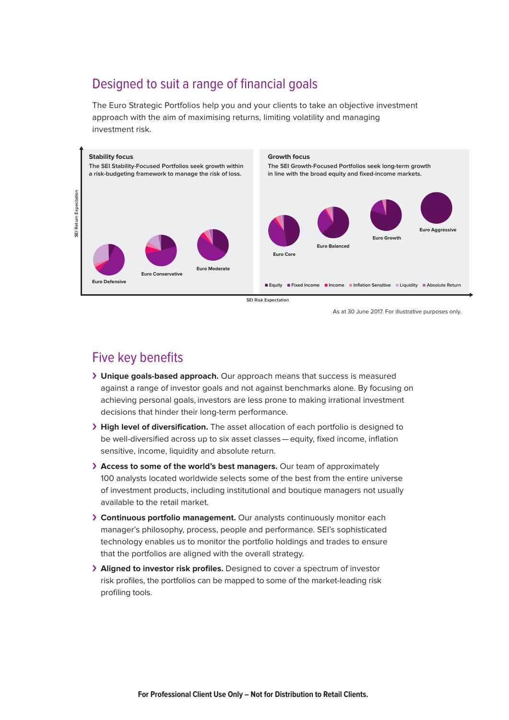## Designed to suit a range of financial goals

The Euro Strategic Portfolios help you and your clients to take an objective investment approach with the aim of maximising returns, limiting volatility and managing investment risk.



As at 30 June 2017. For illustrative purposes only.

### Five key benefits

- ›› **Unique goals-based approach.** Our approach means that success is measured against a range of investor goals and not against benchmarks alone. By focusing on achieving personal goals, investors are less prone to making irrational investment decisions that hinder their long-term performance.
- ›› **High level of diversification.** The asset allocation of each portfolio is designed to be well-diversified across up to six asset classes — equity, fixed income, inflation sensitive, income, liquidity and absolute return.
- ›› **Access to some of the world's best managers.** Our team of approximately 100 analysts located worldwide selects some of the best from the entire universe of investment products, including institutional and boutique managers not usually available to the retail market.
- ›› **Continuous portfolio management.** Our analysts continuously monitor each manager's philosophy, process, people and performance. SEI's sophisticated technology enables us to monitor the portfolio holdings and trades to ensure that the portfolios are aligned with the overall strategy.
- ›› **Aligned to investor risk profiles.** Designed to cover a spectrum of investor risk profiles, the portfolios can be mapped to some of the market-leading risk profiling tools.

**For Professional Client Use Only – Not for Distribution to Retail Clients.**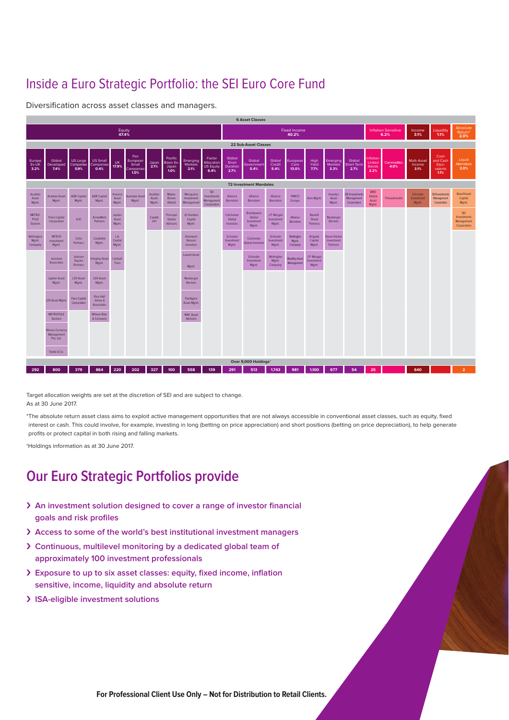# Inside a Euro Strategic Portfolio: the SEI Euro Core Fund

Diversification across asset classes and managers.



Target allocation weights are set at the discretion of SEI and are subject to change. As at 30 June 2017.

\* The absolute return asset class aims to exploit active management opportunities that are not always accessible in conventional asset classes, such as equity, fixed interest or cash. This could involve, for example, investing in long (betting on price appreciation) and short positions (betting on price depreciation), to help generate profits or protect capital in both rising and falling markets.

†Holdings information as at 30 June 2017.

# **Our Euro Strategic Portfolios provide**

- ›› **An investment solution designed to cover a range of investor financial goals and risk profiles**
- ›› **Access to some of the world's best institutional investment managers**
- ›› **Continuous, multilevel monitoring by a dedicated global team of approximately 100 investment professionals**
- ›› **Exposure to up to six asset classes: equity, fixed income, inflation sensitive, income, liquidity and absolute return**
- ›› **ISA-eligible investment solutions**

**For Professional Client Use Only – Not for Distribution to Retail Clients.**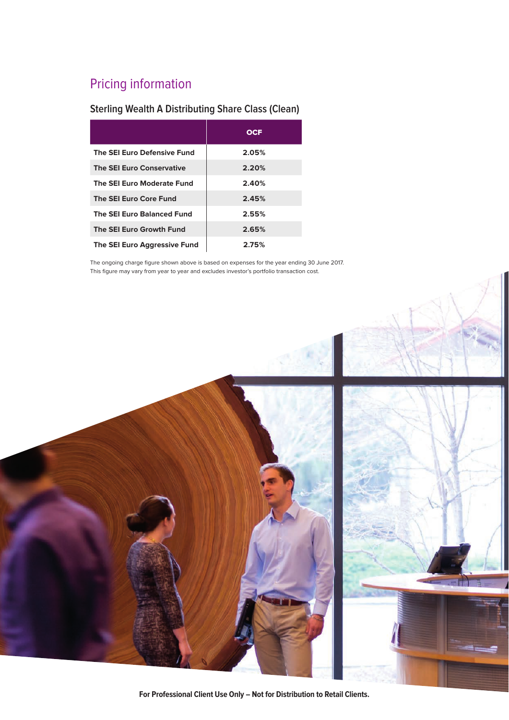# Pricing information

#### **Sterling Wealth A Distributing Share Class (Clean)**

|                                   | <b>OCF</b> |
|-----------------------------------|------------|
| The SEI Euro Defensive Fund       | 2.05%      |
| <b>The SEI Euro Conservative</b>  | 2.20%      |
| The SEI Euro Moderate Fund        | 2.40%      |
| The SEI Euro Core Fund            | 2.45%      |
| <b>The SEI Euro Balanced Fund</b> | 2.55%      |
| The SEI Euro Growth Fund          | 2.65%      |
| The SEI Euro Aggressive Fund      | 2.75%      |

The ongoing charge figure shown above is based on expenses for the year ending 30 June 2017. This figure may vary from year to year and excludes investor's portfolio transaction cost.



**For Professional Client Use Only – Not for Distribution to Retail Clients.**